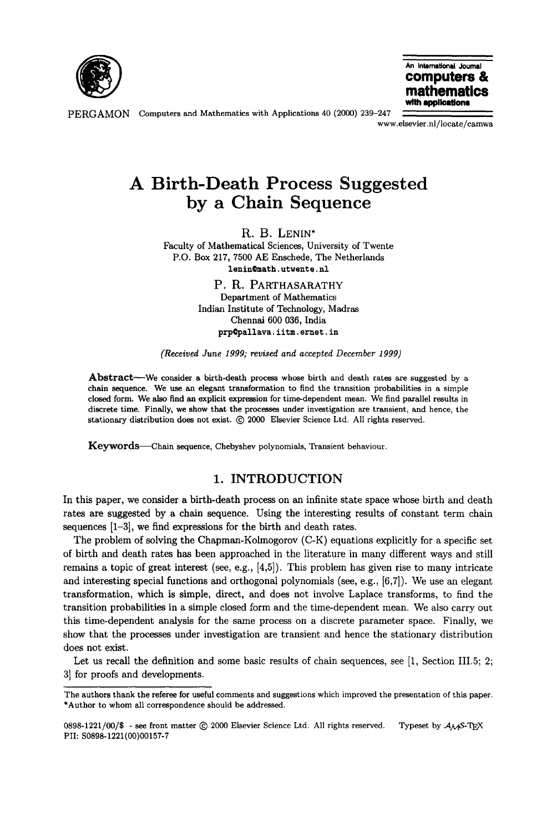

**An Intematlonal Journal computers & mathemat with applicstions** 

PERGAMON Computers and Mathematics with Applications 40 (2000) 239-247

www.elsevier.nl/locate/camwa

# **A Birth-Death Process Suggested by a Chain Sequence**

R. B. LENIN\*

Faculty of Mathematical Sciences, University of Twente P.O. Box 217, 7500 AE Enschede, The Netherlands **lenin~math, utwente,** nl

> **P. R.** PARTHASARATHY Department of Mathematics Indian Institute of Technology, Madras Chennai 600 036, India prp@pallava.iitm.ernet.in

*(Received June 1999; revised and accepted December 1999)* 

Abstract—We consider a birth-death process whose birth and death rates are suggested by a **chain** sequence. We use an elegant transformation to find the transition probabilities in a simple closed form. We also find an explicit expression for time-dependent mean. We find parallel results in discrete time. Finally, we **show that** the processes under investigation are transient, and hence, the stationary distribution does not exist.  $@$  2000 Elsevier Science Ltd. All rights reserved.

Keywords-Chain sequence, Chebyshev polynomials, Transient behaviour.

#### **1.** INTRODUCTION

In this paper, we consider a birth-death process on an infinite state space whose birth and death rates are suggested by a chain sequence. Using the interesting results of constant term chain sequences [1-3], we find expressions for the birth and death rates.

The problem of solving the Chapman-Kolmogorov (C-K) equations explicitly for a specific set of birth and death rates has been approached in the literature in many different ways and still remains a topic of great interest (see, e.g., [4,5]). This problem has given rise to many intricate and interesting special functions and orthogonal polynomials (see, e.g., [6,7]). We use an elegant transformation, which is simple, direct, and does not involve Laplace transforms, to find the transition probabilities in a simple closed form and the time-dependent mean. We also carry out this time-dependent analysis for the same process on a discrete parameter space. Finally, we show that the processes under investigation are transient and hence the stationary distribution does not exist.

Let us recall the definition and some basic results of chain sequences, see [1, Section III.5; 2; 3] for proofs and developments.

The authors thank the referee for useful comments and suggestions which improved the presentation of this paper. \*Author to whom all correspondence should be addressed.

<sup>0898-1221/00/\$ -</sup> see front matter  $@$  2000 Elsevier Science Ltd. All rights reserved. Typeset by  $A_{\mathcal{M}}$ S-TEX **PII:** S0898-1221 (00)00157-7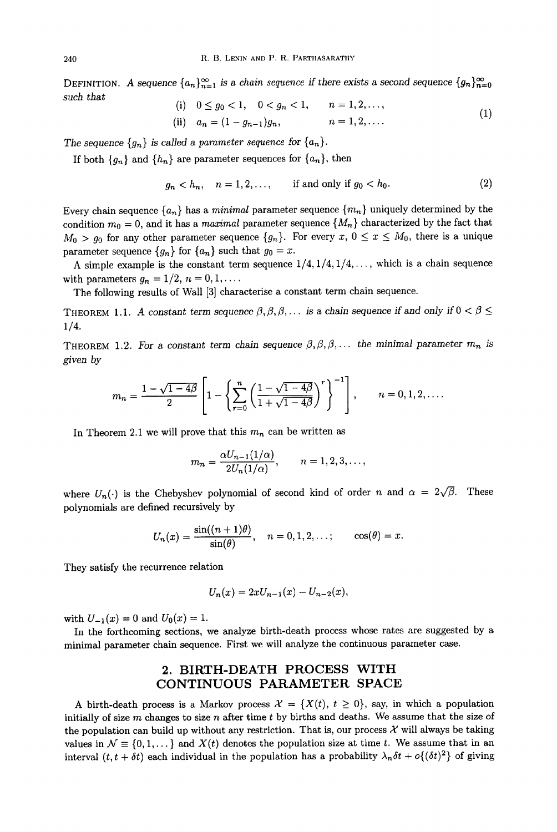DEFINITION. A sequence  ${a_n}_{n=1}^{\infty}$  is a *chain sequence* if there exists a second sequence  ${g_n}_{n=0}^{\infty}$ such *that* 

(i) 
$$
0 \le g_0 < 1
$$
,  $0 < g_n < 1$ ,  $n = 1, 2, ...$ ,  
\n(ii)  $a_n = (1 - g_{n-1})g_n$ ,  $n = 1, 2, ...$  (1)

The sequence  ${g_n}$  is called a parameter sequence for  ${a_n}$ .

If both  ${g_n}$  and  ${h_n}$  are parameter sequences for  ${a_n}$ , then

$$
g_n < h_n, \quad n = 1, 2, \dots, \qquad \text{if and only if } g_0 < h_0. \tag{2}
$$

Every chain sequence  ${a_n}$  has a *minimal* parameter sequence  ${m_n}$  uniquely determined by the condition  $m_0 = 0$ , and it has a *maximal* parameter sequence  $\{M_n\}$  characterized by the fact that  $M_0 > g_0$  for any other parameter sequence  $\{g_n\}$ . For every  $x, 0 \le x \le M_0$ , there is a unique parameter sequence  ${g_n}$  for  ${a_n}$  such that  $g_0 = x$ .

A simple example is the constant term sequence  $1/4$ ,  $1/4$ ,  $1/4$ , ..., which is a chain sequence with parameters  $g_n = 1/2, n = 0, 1, \ldots$ .

The following results of Wall [3] characterise a constant term chain sequence.

**THEOREM 1.1.** A constant term sequence  $\beta$ ,  $\beta$ ,  $\beta$ ,... is a chain sequence if and only if  $0 < \beta \le$ *1/4.* 

**THEOREM** 1.2. For a constant term chain sequence  $\beta, \beta, \beta, \ldots$  the minimal parameter  $m_n$  is *given by* 

$$
m_n = \frac{1 - \sqrt{1 - 4\beta}}{2} \left[ 1 - \left\{ \sum_{r=0}^n \left( \frac{1 - \sqrt{1 - 4\beta}}{1 + \sqrt{1 - 4\beta}} \right)^r \right\}^{-1} \right], \qquad n = 0, 1, 2, \dots.
$$

In Theorem 2.1 we will prove that this  $m_n$  can be written as

$$
m_n = \frac{\alpha U_{n-1}(1/\alpha)}{2U_n(1/\alpha)}, \qquad n = 1, 2, 3, \ldots,
$$

where  $U_n(\cdot)$  is the Chebyshev polynomial of second kind of order n and  $\alpha = 2\sqrt{\beta}$ . These polynomials are defined recursively by

$$
U_n(x)=\frac{\sin((n+1)\theta)}{\sin(\theta)}, \quad n=0,1,2,\ldots; \qquad \cos(\theta)=x.
$$

They satisfy the recurrence relation

$$
U_n(x) = 2xU_{n-1}(x) - U_{n-2}(x),
$$

with  $U_{-1}(x) = 0$  and  $U_0(x) = 1$ .

In the forthcoming sections, we analyze birth-death process whose rates are suggested by a minimal parameter chain sequence. First we will analyze the continuous parameter case.

## **2. BIRTH-DEATH PROCESS WITH CONTINUOUS PARAMETER SPACE**

A birth-death process is a Markov process  $\mathcal{X} = \{X(t), t \geq 0\}$ , say, in which a population initially of size m changes to size n after time  $t$  by births and deaths. We assume that the size of the population can build up without any restriction. That is, our process  $\mathcal X$  will always be taking values in  $\mathcal{N} \equiv \{0, 1, \dots\}$  and  $X(t)$  denotes the population size at time t. We assume that in an interval  $(t, t + \delta t)$  each individual in the population has a probability  $\lambda_n \delta t + o\{(\delta t)^2\}$  of giving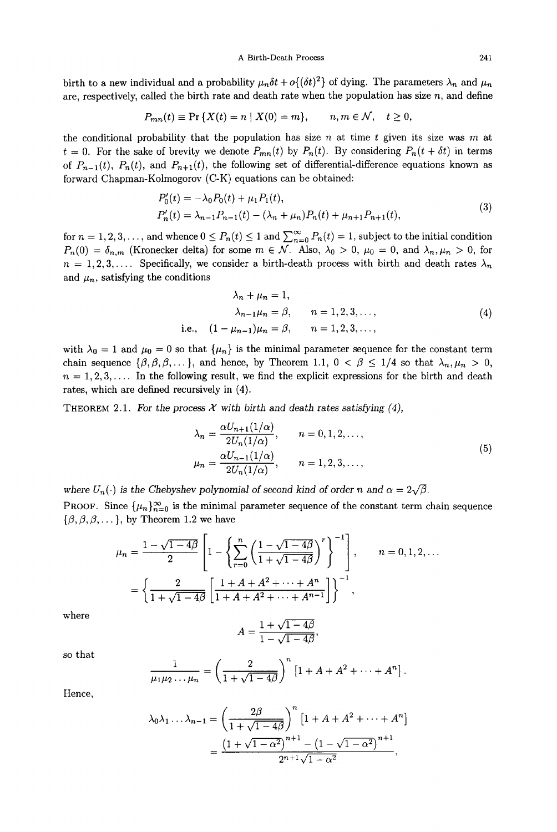birth to a new individual and a probability  $\mu_n\delta t + o\{(\delta t)^2\}$  of dying. The parameters  $\lambda_n$  and  $\mu_n$ are, respectively, called the birth rate and death rate when the population has size  $n$ , and define

$$
P_{mn}(t) \equiv \Pr\{X(t) = n \mid X(0) = m\}, \qquad n, m \in \mathcal{N}, \quad t \ge 0,
$$

the conditional probability that the population has size n at time t given its size was m at  $t = 0$ . For the sake of brevity we denote  $P_{mn}(t)$  by  $P_n(t)$ . By considering  $P_n(t + \delta t)$  in terms of  $P_{n-1}(t)$ ,  $P_n(t)$ , and  $P_{n+1}(t)$ , the following set of differential-difference equations known as forward Chapman-Kolmogorov (C-K) equations can be obtained:

$$
P'_0(t) = -\lambda_0 P_0(t) + \mu_1 P_1(t),
$$
  
\n
$$
P'_n(t) = \lambda_{n-1} P_{n-1}(t) - (\lambda_n + \mu_n) P_n(t) + \mu_{n+1} P_{n+1}(t),
$$
\n(3)

for  $n = 1, 2, 3, \ldots$ , and whence  $0 \le P_n(t) \le 1$  and  $\sum_{n=0}^{\infty} P_n(t) = 1$ , subject to the initial condition  $P_n(0) = \delta_{n,m}$  (Kronecker delta) for some  $m \in \mathcal{N}$ . Also,  $\lambda_0 > 0$ ,  $\mu_0 = 0$ , and  $\lambda_n, \mu_n > 0$ , for  $n = 1, 2, 3, \ldots$  Specifically, we consider a birth-death process with birth and death rates  $\lambda_n$ and  $\mu_n$ , satisfying the conditions

$$
\lambda_n + \mu_n = 1,
$$
  
\n
$$
\lambda_{n-1}\mu_n = \beta, \qquad n = 1, 2, 3, \dots,
$$
  
\ni.e.,  $(1 - \mu_{n-1})\mu_n = \beta, \qquad n = 1, 2, 3, \dots,$  (4)

with  $\lambda_0 = 1$  and  $\mu_0 = 0$  so that  $\{\mu_n\}$  is the minimal parameter sequence for the constant term chain sequence  $\{\beta,\beta,\beta,\ldots\}$ , and hence, by Theorem 1.1,  $0 < \beta \leq 1/4$  so that  $\lambda_n, \mu_n > 0$ ,  $n = 1, 2, 3, \ldots$  In the following result, we find the explicit expressions for the birth and death rates, which are defined reeursively in (4).

THEOREM 2.1. For the process  $\mathcal X$  with birth and death rates satisfying (4),

$$
\lambda_n = \frac{\alpha U_{n+1}(1/\alpha)}{2U_n(1/\alpha)}, \qquad n = 0, 1, 2, \dots,
$$
  

$$
\mu_n = \frac{\alpha U_{n-1}(1/\alpha)}{2U_n(1/\alpha)}, \qquad n = 1, 2, 3, \dots,
$$
  
(5)

where  $U_n(\cdot)$  is the Chebyshev polynomial of second kind of order *n* and  $\alpha = 2\sqrt{\beta}$ . **PROOF.** Since  $\{\mu_n\}_{n=0}^{\infty}$  is the minimal parameter sequence of the constant term chain sequence  $\{\beta, \beta, \beta, \dots\}$ , by Theorem 1.2 we have

$$
\mu_n = \frac{1 - \sqrt{1 - 4\beta}}{2} \left[ 1 - \left\{ \sum_{r=0}^n \left( \frac{1 - \sqrt{1 - 4\beta}}{1 + \sqrt{1 - 4\beta}} \right)^r \right\}^{-1} \right], \qquad n = 0, 1, 2, \dots
$$

$$
= \left\{ \frac{2}{1 + \sqrt{1 - 4\beta}} \left[ \frac{1 + A + A^2 + \dots + A^n}{1 + A + A^2 + \dots + A^{n-1}} \right] \right\}^{-1},
$$

where

$$
A = \frac{1 + \sqrt{1 - 4\beta}}{1 - \sqrt{1 - 4\beta}},
$$

so that

$$
\frac{1}{\mu_1 \mu_2 \dots \mu_n} = \left(\frac{2}{1 + \sqrt{1 - 4\beta}}\right)^n \left[1 + A + A^2 + \dots + A^n\right].
$$

Hence,

$$
\lambda_0 \lambda_1 \dots \lambda_{n-1} = \left( \frac{2\beta}{1 + \sqrt{1 - 4\beta}} \right)^n \left[ 1 + A + A^2 + \dots + A^n \right]
$$

$$
= \frac{\left( 1 + \sqrt{1 - \alpha^2} \right)^{n+1} - \left( 1 - \sqrt{1 - \alpha^2} \right)^{n+1}}{2^{n+1} \sqrt{1 - \alpha^2}},
$$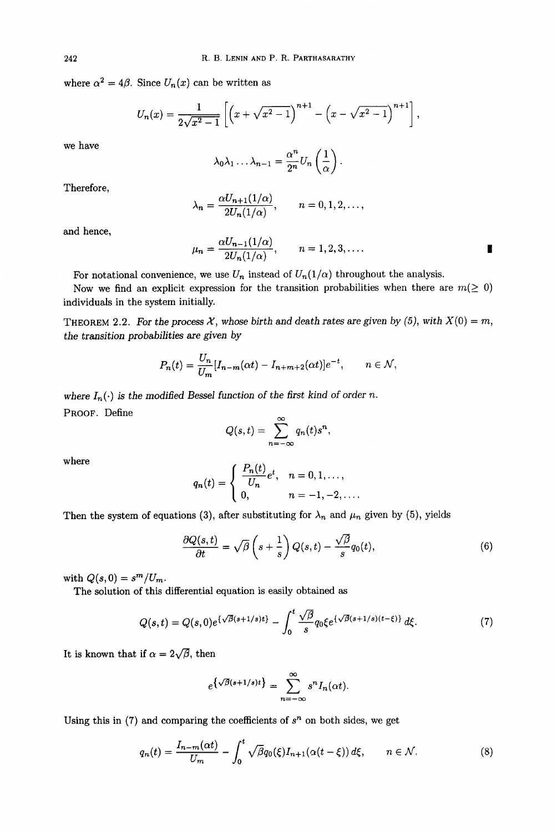where  $\alpha^2 = 4\beta$ . Since  $U_n(x)$  can be written as

$$
U_n(x) = \frac{1}{2\sqrt{x^2 - 1}} \left[ \left( x + \sqrt{x^2 - 1} \right)^{n+1} - \left( x - \sqrt{x^2 - 1} \right)^{n+1} \right],
$$

we have

$$
\lambda_0\lambda_1\ldots\lambda_{n-1}=\frac{\alpha^n}{2^n}U_n\left(\frac{1}{\alpha}\right).
$$

Therefore,

$$
\lambda_n = \frac{\alpha U_{n+1}(1/\alpha)}{2U_n(1/\alpha)}, \qquad n = 0, 1, 2, \dots,
$$

and hence,

$$
\mu_n = \frac{\alpha U_{n-1}(1/\alpha)}{2U_n(1/\alpha)}, \qquad n = 1, 2, 3, \dots.
$$

For notational convenience, we use  $U_n$  instead of  $U_n(1/\alpha)$  throughout the analysis.

and the state of

Now we find an explicit expression for the transition probabilities when there are  $m(\geq 0)$ individuals in the system initially.

THEOREM 2.2. For the process  $\mathcal X$ , whose birth and death rates are given by (5), with  $X(0) = m$ , *the transition probabilities are given by* 

$$
P_n(t) = \frac{U_n}{U_m} [I_{n-m}(\alpha t) - I_{n+m+2}(\alpha t)]e^{-t}, \qquad n \in \mathcal{N},
$$

where  $I_n(\cdot)$  is the modified Bessel function of the first kind of order *n*. PROOF. Define

$$
Q(s,t)=\sum_{n=-\infty}^{\infty}q_n(t)s^n,
$$

where  

$$
q_n(t) = \begin{cases} \frac{P_n(t)}{U_n} e^t, & n = 0, 1, \dots, \\ 0, & n = -1, -2, \dots. \end{cases}
$$

Then the system of equations (3), after substituting for  $\lambda_n$  and  $\mu_n$  given by (5), yields

$$
\frac{\partial Q(s,t)}{\partial t} = \sqrt{\beta} \left( s + \frac{1}{s} \right) Q(s,t) - \frac{\sqrt{\beta}}{s} q_0(t),\tag{6}
$$

with  $Q(s, 0) = s^m/U_m$ .

The solution of this differential equation is easily obtained as

$$
Q(s,t) = Q(s,0)e^{\{\sqrt{\beta}(s+1/s)t\}} - \int_0^t \frac{\sqrt{\beta}}{s} q_0 \xi e^{\{\sqrt{\beta}(s+1/s)(t-\xi)\}} d\xi.
$$
 (7)

It is known that if  $\alpha = 2\sqrt{\beta}$ , then

$$
e^{\{\sqrt{\beta}(s+1/s)t\}} = \sum_{n=-\infty}^{\infty} s^n I_n(\alpha t).
$$

Using this in  $(7)$  and comparing the coefficients of  $s<sup>n</sup>$  on both sides, we get

$$
q_n(t) = \frac{I_{n-m}(\alpha t)}{U_m} - \int_0^t \sqrt{\beta} q_0(\xi) I_{n+1}(\alpha(t-\xi)) d\xi, \qquad n \in \mathcal{N}.
$$
 (8)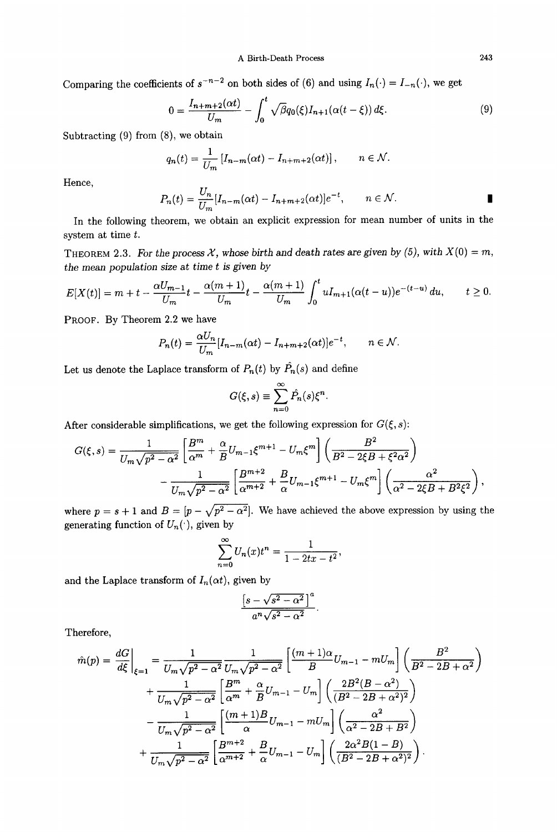Comparing the coefficients of  $s^{-n-2}$  on both sides of (6) and using  $I_n(\cdot) = I_{-n}(\cdot)$ , we get

$$
0 = \frac{I_{n+m+2}(\alpha t)}{U_m} - \int_0^t \sqrt{\beta} q_0(\xi) I_{n+1}(\alpha(t-\xi)) d\xi.
$$
 (9)

Subtracting (9) from (8), we obtain

$$
q_n(t) = \frac{1}{U_m} \left[ I_{n-m}(\alpha t) - I_{n+m+2}(\alpha t) \right], \qquad n \in \mathcal{N}.
$$

Hence,

$$
P_n(t) = \frac{U_n}{U_m} [I_{n-m}(\alpha t) - I_{n+m+2}(\alpha t)] e^{-t}, \qquad n \in \mathcal{N}.
$$

In the following theorem, we obtain an explicit expression for mean number of units in the system at time  $t$ .

THEOREM 2.3. For the process  $X$ , whose birth and death rates are given by (5), with  $X(0) = m$ , *the mean population size* at *time t is given by* 

$$
E[X(t)] = m + t - \frac{\alpha U_{m-1}}{U_m}t - \frac{\alpha(m+1)}{U_m}t - \frac{\alpha(m+1)}{U_m}\int_0^t u I_{m+1}(\alpha(t-u))e^{-(t-u)} du, \qquad t \ge 0.
$$

PROOF. By Theorem 2.2 we have

$$
P_n(t) = \frac{\alpha U_n}{U_m} [I_{n-m}(\alpha t) - I_{n+m+2}(\alpha t)] e^{-t}, \qquad n \in \mathcal{N}.
$$

Let us denote the Laplace transform of  $P_n(t)$  by  $\hat{P}_n(s)$  and define

$$
G(\xi, s) \equiv \sum_{n=0}^{\infty} \hat{P}_n(s) \xi^n
$$

After considerable simplifications, we get the following expression for  $G(\xi, s)$ :

$$
G(\xi, s) = \frac{1}{U_m \sqrt{p^2 - \alpha^2}} \left[ \frac{B^m}{\alpha^m} + \frac{\alpha}{B} U_{m-1} \xi^{m+1} - U_m \xi^m \right] \left( \frac{B^2}{B^2 - 2\xi B + \xi^2 \alpha^2} \right)
$$

$$
- \frac{1}{U_m \sqrt{p^2 - \alpha^2}} \left[ \frac{B^{m+2}}{\alpha^{m+2}} + \frac{B}{\alpha} U_{m-1} \xi^{m+1} - U_m \xi^m \right] \left( \frac{\alpha^2}{\alpha^2 - 2\xi B + B^2 \xi^2} \right),
$$

where  $p = s + 1$  and  $B = [p - \sqrt{p^2 - \alpha^2}]$ . We have achieved the above expression by using the generating function of  $U_n(\cdot)$ , given by

$$
\sum_{n=0}^{\infty} U_n(x)t^n = \frac{1}{1-2tx-t^2},
$$

and the Laplace transform of  $I_n(\alpha t)$ , given by

$$
\frac{\left[s-\sqrt{s^2-\alpha^2}\,\right]^a}{a^n\sqrt{s^2-\alpha^2}}
$$

Therefore,

$$
\hat{m}(p) = \frac{dG}{d\xi}\Big|_{\xi=1} = \frac{1}{U_m\sqrt{p^2 - \alpha^2}} \frac{1}{U_m\sqrt{p^2 - \alpha^2}} \left[\frac{(m+1)\alpha}{B}U_{m-1} - mU_m\right] \left(\frac{B^2}{B^2 - 2B + \alpha^2}\right) \n+ \frac{1}{U_m\sqrt{p^2 - \alpha^2}} \left[\frac{B^m}{\alpha^m} + \frac{\alpha}{B}U_{m-1} - U_m\right] \left(\frac{2B^2(B - \alpha^2)}{(B^2 - 2B + \alpha^2)^2}\right) \n- \frac{1}{U_m\sqrt{p^2 - \alpha^2}} \left[\frac{(m+1)B}{\alpha}U_{m-1} - mU_m\right] \left(\frac{\alpha^2}{\alpha^2 - 2B + B^2}\right) \n+ \frac{1}{U_m\sqrt{p^2 - \alpha^2}} \left[\frac{B^{m+2}}{\alpha^{m+2}} + \frac{B}{\alpha}U_{m-1} - U_m\right] \left(\frac{2\alpha^2B(1-B)}{(B^2 - 2B + \alpha^2)^2}\right).
$$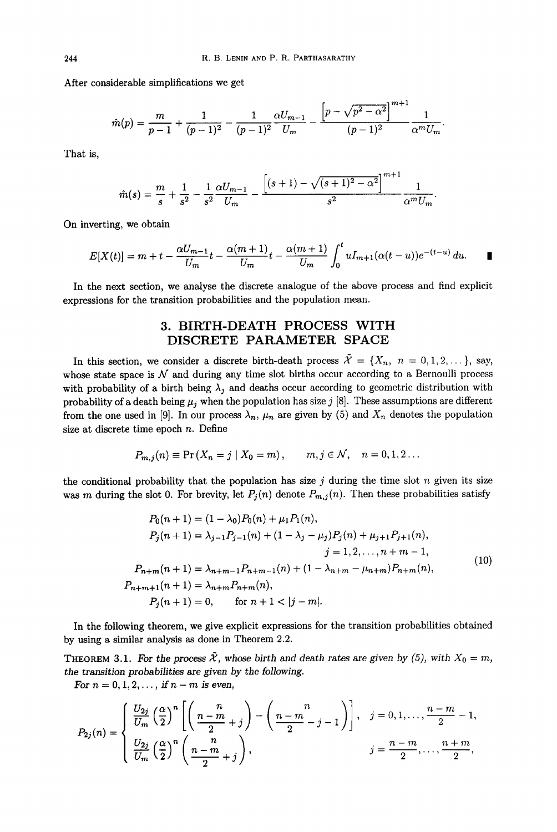After considerable simplifications we get

$$
\hat{m}(p) = \frac{m}{p-1} + \frac{1}{(p-1)^2} - \frac{1}{(p-1)^2} \frac{\alpha U_{m-1}}{U_m} - \frac{\left[p - \sqrt{p^2 - \alpha^2}\right]^{m+1}}{(p-1)^2} \frac{1}{\alpha^m U_m}.
$$

That is,

$$
\hat{m}(s) = \frac{m}{s} + \frac{1}{s^2} - \frac{1}{s^2} \frac{\alpha U_{m-1}}{U_m} - \frac{\left[ (s+1) - \sqrt{(s+1)^2 - \alpha^2} \right]^{m+1}}{s^2} \frac{1}{\alpha^m U_m}.
$$

On inverting, we obtain

$$
E[X(t)] = m + t - \frac{\alpha U_{m-1}}{U_m}t - \frac{\alpha(m+1)}{U_m}t - \frac{\alpha(m+1)}{U_m}\int_0^t u I_{m+1}(\alpha(t-u))e^{-(t-u)} du.
$$

 $-m+1$ 

In the next section, we analyse the discrete analogue of the above process and find explicit expressions for the transition probabilities and the population mean.

## **3. BIRTH-DEATH PROCESS WITH DISCRETE PARAMETER SPACE**

In this section, we consider a discrete birth-death process  $\tilde{\mathcal{X}} = \{X_n, n = 0, 1, 2, ...\}$ , say, whose state space is  $N$  and during any time slot births occur according to a Bernoulli process with probability of a birth being  $\lambda_j$  and deaths occur according to geometric distribution with probability of a death being  $\mu_j$  when the population has size j [8]. These assumptions are different from the one used in [9]. In our process  $\lambda_n$ ,  $\mu_n$  are given by (5) and  $X_n$  denotes the population size at discrete time epoch  $n$ . Define

$$
P_{m,j}(n) \equiv \Pr(X_n = j \mid X_0 = m), \qquad m, j \in \mathcal{N}, \quad n = 0, 1, 2 \ldots
$$

the conditional probability that the population has size j during the time slot n given its size was m during the slot 0. For brevity, let  $P_j(n)$  denote  $P_{m,j}(n)$ . Then these probabilities satisfy

$$
P_0(n + 1) = (1 - \lambda_0)P_0(n) + \mu_1 P_1(n),
$$
  
\n
$$
P_j(n + 1) = \lambda_{j-1}P_{j-1}(n) + (1 - \lambda_j - \mu_j)P_j(n) + \mu_{j+1}P_{j+1}(n),
$$
  
\n
$$
j = 1, 2, ..., n + m - 1,
$$
  
\n
$$
P_{n+m}(n + 1) = \lambda_{n+m-1}P_{n+m-1}(n) + (1 - \lambda_{n+m} - \mu_{n+m})P_{n+m}(n),
$$
  
\n
$$
P_{n+m+1}(n + 1) = \lambda_{n+m}P_{n+m}(n),
$$
  
\n
$$
P_j(n + 1) = 0, \quad \text{for } n + 1 < |j - m|.
$$
\n(10)

In the following theorem, we give explicit expressions for the transition probabilities obtained by using a similar analysis as done in Theorem 2.2.

THEOREM 3.1. For the process  $\tilde{\mathcal{X}}$ , whose birth and death rates are given by (5), with  $X_0 = m$ , *the transition probabilities* are *given by* the *following.* 

*For*  $n = 0, 1, 2, \ldots$ , *if*  $n - m$  *is even,* 

$$
P_{2j}(n) = \begin{cases} \frac{U_{2j}}{U_m} \left(\frac{\alpha}{2}\right)^n \left[ \left(\frac{n}{2m} + j\right) - \left(\frac{n-m}{2} - j - 1\right) \right], & j = 0, 1, \dots, \frac{n-m}{2} - 1, \\ \frac{U_{2j}}{U_m} \left(\frac{\alpha}{2}\right)^n \left(\frac{n}{2m} + j\right), & j = \frac{n-m}{2}, \dots, \frac{n+m}{2}, \end{cases}
$$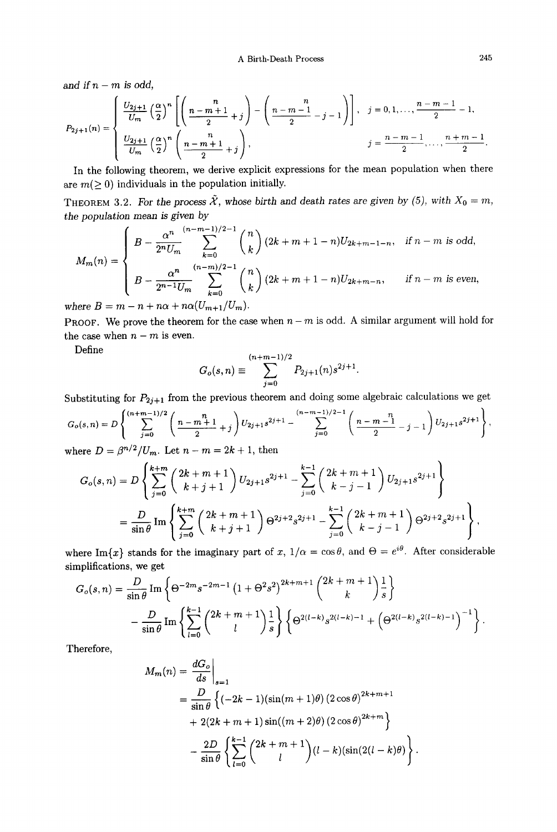A Birth-Death Process 245

and if  $n - m$  is odd,

$$
P_{2j+1}(n) = \begin{cases} \frac{U_{2j+1}}{U_m} \left(\frac{\alpha}{2}\right)^n \left[ \left(\frac{n}{2} - \frac{n+1}{2} + j\right) - \left(\frac{n}{2} - \frac{n-1}{2} - j - 1\right) \right], & j = 0, 1, \dots, \frac{n-m-1}{2} - 1, \\ \frac{U_{2j+1}}{U_m} \left(\frac{\alpha}{2}\right)^n \left(\frac{n}{2} - \frac{n+1}{2} + j\right), & j = \frac{n-m-1}{2}, \dots, \frac{n+m-1}{2}. \end{cases}
$$

In the following theorem, we derive explicit expressions for the mean population when there are  $m(\geq 0)$  individuals in the population initially.

THEOREM 3.2. For the process  $\tilde{\mathcal{X}}$ , whose birth and death rates are given by (5), with  $X_0 = m$ , *the population mean is given by* 

$$
M_m(n) = \begin{cases} B - \frac{\alpha^n}{2^n U_m} \sum_{k=0}^{(n-m-1)/2-1} {n \choose k} (2k+m+1-n) U_{2k+m-1-n}, & \text{if } n-m \text{ is odd,} \\ B - \frac{\alpha^n}{2^{n-1} U_m} \sum_{k=0}^{(n-m)/2-1} {n \choose k} (2k+m+1-n) U_{2k+m-n}, & \text{if } n-m \text{ is even,} \end{cases}
$$

*where*  $B = m - n + n\alpha + n\alpha (U_{m+1}/U_m)$ *.* 

**PROOF.** We prove the theorem for the case when  $n - m$  is odd. A similar argument will hold for the case when  $n - m$  is even.

Define 
$$
G_o(s, n) \equiv \sum_{j=0}^{(n+m-1)/2} P_{2j+1}(n) s^{2j+1}.
$$

Substituting for  $P_{2j+1}$  from the previous theorem and doing some algebraic calculations we get

$$
G_o(s,n) = D\left\{\sum_{j=0}^{(n+m-1)/2} \left(\frac{n-m+1}{2} + j\right) U_{2j+1} s^{2j+1} - \sum_{j=0}^{(n-m-1)/2-1} \left(\frac{n-m-1}{2} - j - 1\right) U_{2j+1} s^{2j+1}\right\},\,
$$
where  $D = \frac{\beta^{n/2}}{n!}$  Let  $n-m = 2k+1$  then

where  $D = \beta^{n/2}/U_m$ . Let  $n - m = 2k + 1$ , then

$$
G_o(s,n) = D\left\{\sum_{j=0}^{k+m} \binom{2k+m+1}{k+j+1} U_{2j+1}s^{2j+1} - \sum_{j=0}^{k-1} \binom{2k+m+1}{k-j-1} U_{2j+1}s^{2j+1}\right\}
$$
  
= 
$$
\frac{D}{\sin\theta} \operatorname{Im} \left\{\sum_{j=0}^{k+m} \binom{2k+m+1}{k+j+1} \Theta^{2j+2}s^{2j+1} - \sum_{j=0}^{k-1} \binom{2k+m+1}{k-j-1} \Theta^{2j+2}s^{2j+1}\right\},
$$

where Im $\{x\}$  stands for the imaginary part of x,  $1/\alpha = \cos \theta$ , and  $\Theta = e^{i\theta}$ . After considerable simplifications, we get

$$
G_o(s,n) = \frac{D}{\sin \theta} \operatorname{Im} \left\{ \Theta^{-2m} s^{-2m-1} \left( 1 + \Theta^2 s^2 \right)^{2k+m+1} {2k+m+1 \choose k} \frac{1}{s} \right\}
$$

$$
- \frac{D}{\sin \theta} \operatorname{Im} \left\{ \sum_{l=0}^{k-1} {2k+m+1 \choose l} \frac{1}{s} \right\} \left\{ \Theta^{2(l-k)} s^{2(l-k)-1} + \left( \Theta^{2(l-k)} s^{2(l-k)-1} \right)^{-1} \right\}.
$$

Therefore,

$$
M_m(n) = \frac{dG_o}{ds}\Big|_{s=1}
$$
  
=  $\frac{D}{\sin \theta} \left\{ (-2k - 1)(\sin((m + 1)\theta) (2 \cos \theta)^{2k+m+1} + 2(2k + m + 1) \sin((m + 2)\theta) (2 \cos \theta)^{2k+m} \right\}$   
=  $\frac{2D}{\sin \theta} \left\{ \sum_{l=0}^{k-1} {2k + m + 1 \choose l} (l - k)(\sin(2(l - k)\theta)) \right\}.$ 

 $\lambda$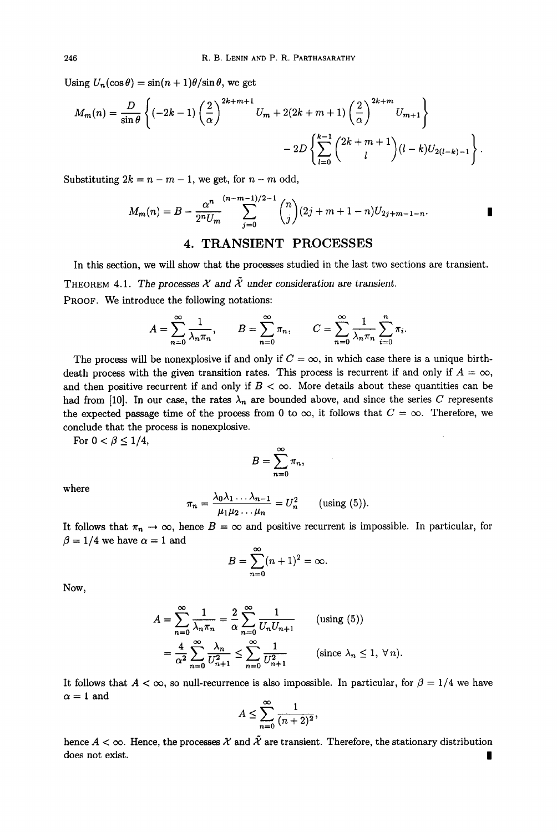Using  $U_n(\cos\theta) = \sin((n+1)\theta)/\sin\theta$ , we get

$$
M_m(n) = \frac{D}{\sin \theta} \left\{ (-2k-1) \left( \frac{2}{\alpha} \right)^{2k+m+1} U_m + 2(2k+m+1) \left( \frac{2}{\alpha} \right)^{2k+m} U_{m+1} \right\} - 2D \left\{ \sum_{l=0}^{k-1} {2k+m+1 \choose l} (l-k) U_{2(l-k)-1} \right\}.
$$

Substituting  $2k = n - m - 1$ , we get, for  $n - m$  odd,

$$
M_m(n) = B - \frac{\alpha^n}{2^n U_m} \sum_{j=0}^{(n-m-1)/2-1} {n \choose j} (2j+m+1-n) U_{2j+m-1-n}.
$$

## **4. TRANSIENT PROCESSES**

In this section, we will show that the processes studied in the last two sections are transient.

THEOREM 4.1. The processes  $\mathcal X$  and  $\tilde X$  under consideration are transient. PROOF. We introduce the following notations:

$$
A = \sum_{n=0}^{\infty} \frac{1}{\lambda_n \pi_n}, \qquad B = \sum_{n=0}^{\infty} \pi_n, \qquad C = \sum_{n=0}^{\infty} \frac{1}{\lambda_n \pi_n} \sum_{i=0}^n \pi_i.
$$

The process will be nonexplosive if and only if  $C = \infty$ , in which case there is a unique birthdeath process with the given transition rates. This process is recurrent if and only if  $A = \infty$ , and then positive recurrent if and only if  $B < \infty$ . More details about these quantities can be had from [10]. In our case, the rates  $\lambda_n$  are bounded above, and since the series C represents the expected passage time of the process from 0 to  $\infty$ , it follows that  $C = \infty$ . Therefore, we conclude that the process is nonexplosive.

For  $0 < \beta \leq 1/4$ ,

$$
B=\sum_{n=0}^\infty \pi_n,
$$

where

$$
\pi_n = \frac{\lambda_0 \lambda_1 \ldots \lambda_{n-1}}{\mu_1 \mu_2 \ldots \mu_n} = U_n^2 \quad \text{(using (5))}.
$$

It follows that  $\pi_n \to \infty$ , hence  $B = \infty$  and positive recurrent is impossible. In particular, for  $\beta = 1/4$  we have  $\alpha = 1$  and

$$
B=\sum_{n=0}^{\infty}(n+1)^2=\infty.
$$

Now,

$$
A = \sum_{n=0}^{\infty} \frac{1}{\lambda_n \pi_n} = \frac{2}{\alpha} \sum_{n=0}^{\infty} \frac{1}{U_n U_{n+1}} \quad \text{(using (5))}
$$

$$
= \frac{4}{\alpha^2} \sum_{n=0}^{\infty} \frac{\lambda_n}{U_{n+1}^2} \le \sum_{n=0}^{\infty} \frac{1}{U_{n+1}^2} \quad \text{(since } \lambda_n \le 1, \forall n\text{)}.
$$

It follows that  $A < \infty$ , so null-recurrence is also impossible. In particular, for  $\beta = 1/4$  we have  $\alpha = 1$  and

$$
A \le \sum_{n=0}^{\infty} \frac{1}{(n+2)^2},
$$

hence  $A < \infty$ . Hence, the processes X and  $\tilde{\mathcal{X}}$  are transient. Therefore, the stationary distribution does not exist.